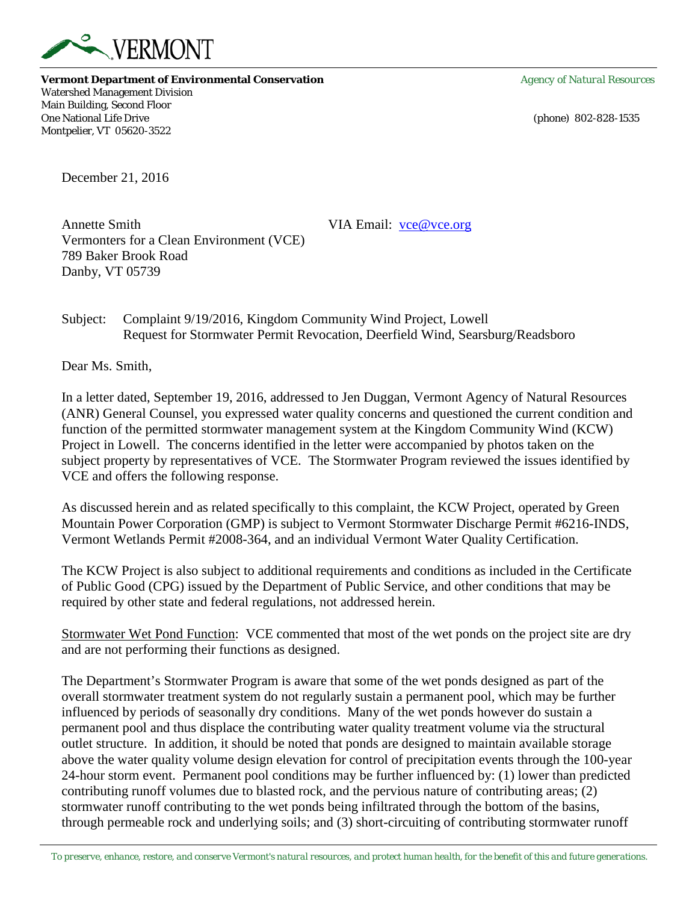

**Vermont Department of Environmental Conservation** *Agency of Natural Resources* Watershed Management Division Main Building, Second Floor One National Life Drive (phone) 802-828-1535 Montpelier, VT 05620-3522

December 21, 2016

Annette Smith VIA Email: [vce@vce.org](mailto:vce@vce.org) Vermonters for a Clean Environment (VCE) 789 Baker Brook Road Danby, VT 05739

Subject: Complaint 9/19/2016, Kingdom Community Wind Project, Lowell Request for Stormwater Permit Revocation, Deerfield Wind, Searsburg/Readsboro

Dear Ms. Smith,

In a letter dated, September 19, 2016, addressed to Jen Duggan, Vermont Agency of Natural Resources (ANR) General Counsel, you expressed water quality concerns and questioned the current condition and function of the permitted stormwater management system at the Kingdom Community Wind (KCW) Project in Lowell. The concerns identified in the letter were accompanied by photos taken on the subject property by representatives of VCE. The Stormwater Program reviewed the issues identified by VCE and offers the following response.

As discussed herein and as related specifically to this complaint, the KCW Project, operated by Green Mountain Power Corporation (GMP) is subject to Vermont Stormwater Discharge Permit #6216-INDS, Vermont Wetlands Permit #2008-364, and an individual Vermont Water Quality Certification.

The KCW Project is also subject to additional requirements and conditions as included in the Certificate of Public Good (CPG) issued by the Department of Public Service, and other conditions that may be required by other state and federal regulations, not addressed herein.

Stormwater Wet Pond Function: VCE commented that most of the wet ponds on the project site are dry and are not performing their functions as designed.

The Department's Stormwater Program is aware that some of the wet ponds designed as part of the overall stormwater treatment system do not regularly sustain a permanent pool, which may be further influenced by periods of seasonally dry conditions. Many of the wet ponds however do sustain a permanent pool and thus displace the contributing water quality treatment volume via the structural outlet structure. In addition, it should be noted that ponds are designed to maintain available storage above the water quality volume design elevation for control of precipitation events through the 100-year 24-hour storm event. Permanent pool conditions may be further influenced by: (1) lower than predicted contributing runoff volumes due to blasted rock, and the pervious nature of contributing areas; (2) stormwater runoff contributing to the wet ponds being infiltrated through the bottom of the basins, through permeable rock and underlying soils; and (3) short-circuiting of contributing stormwater runoff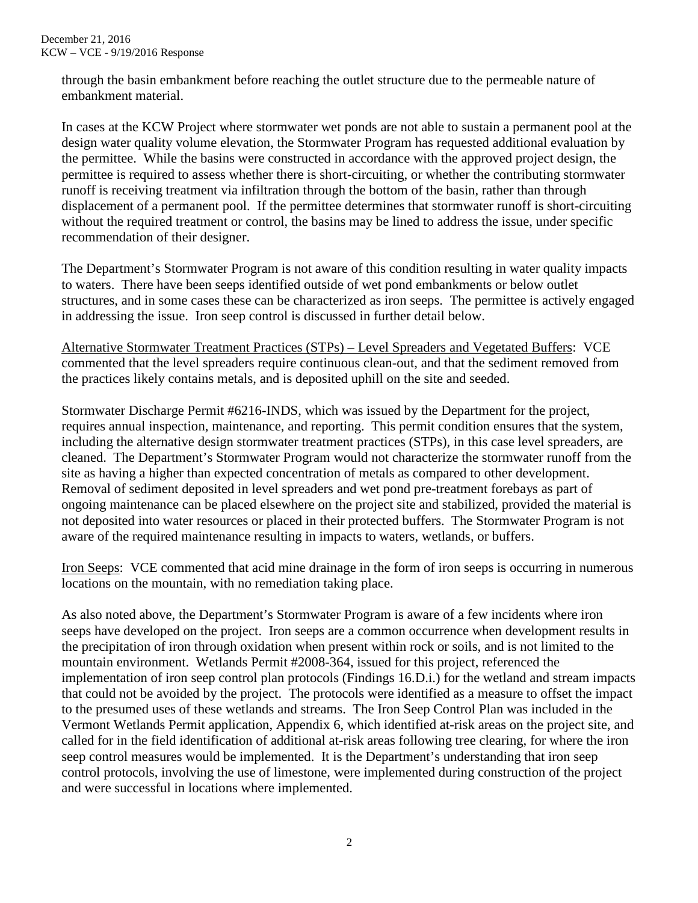through the basin embankment before reaching the outlet structure due to the permeable nature of embankment material.

In cases at the KCW Project where stormwater wet ponds are not able to sustain a permanent pool at the design water quality volume elevation, the Stormwater Program has requested additional evaluation by the permittee. While the basins were constructed in accordance with the approved project design, the permittee is required to assess whether there is short-circuiting, or whether the contributing stormwater runoff is receiving treatment via infiltration through the bottom of the basin, rather than through displacement of a permanent pool. If the permittee determines that stormwater runoff is short-circuiting without the required treatment or control, the basins may be lined to address the issue, under specific recommendation of their designer.

The Department's Stormwater Program is not aware of this condition resulting in water quality impacts to waters. There have been seeps identified outside of wet pond embankments or below outlet structures, and in some cases these can be characterized as iron seeps. The permittee is actively engaged in addressing the issue. Iron seep control is discussed in further detail below.

Alternative Stormwater Treatment Practices (STPs) – Level Spreaders and Vegetated Buffers: VCE commented that the level spreaders require continuous clean-out, and that the sediment removed from the practices likely contains metals, and is deposited uphill on the site and seeded.

Stormwater Discharge Permit #6216-INDS, which was issued by the Department for the project, requires annual inspection, maintenance, and reporting. This permit condition ensures that the system, including the alternative design stormwater treatment practices (STPs), in this case level spreaders, are cleaned. The Department's Stormwater Program would not characterize the stormwater runoff from the site as having a higher than expected concentration of metals as compared to other development. Removal of sediment deposited in level spreaders and wet pond pre-treatment forebays as part of ongoing maintenance can be placed elsewhere on the project site and stabilized, provided the material is not deposited into water resources or placed in their protected buffers. The Stormwater Program is not aware of the required maintenance resulting in impacts to waters, wetlands, or buffers.

Iron Seeps: VCE commented that acid mine drainage in the form of iron seeps is occurring in numerous locations on the mountain, with no remediation taking place.

As also noted above, the Department's Stormwater Program is aware of a few incidents where iron seeps have developed on the project. Iron seeps are a common occurrence when development results in the precipitation of iron through oxidation when present within rock or soils, and is not limited to the mountain environment. Wetlands Permit #2008-364, issued for this project, referenced the implementation of iron seep control plan protocols (Findings 16.D.i.) for the wetland and stream impacts that could not be avoided by the project. The protocols were identified as a measure to offset the impact to the presumed uses of these wetlands and streams. The Iron Seep Control Plan was included in the Vermont Wetlands Permit application, Appendix 6, which identified at-risk areas on the project site, and called for in the field identification of additional at-risk areas following tree clearing, for where the iron seep control measures would be implemented. It is the Department's understanding that iron seep control protocols, involving the use of limestone, were implemented during construction of the project and were successful in locations where implemented.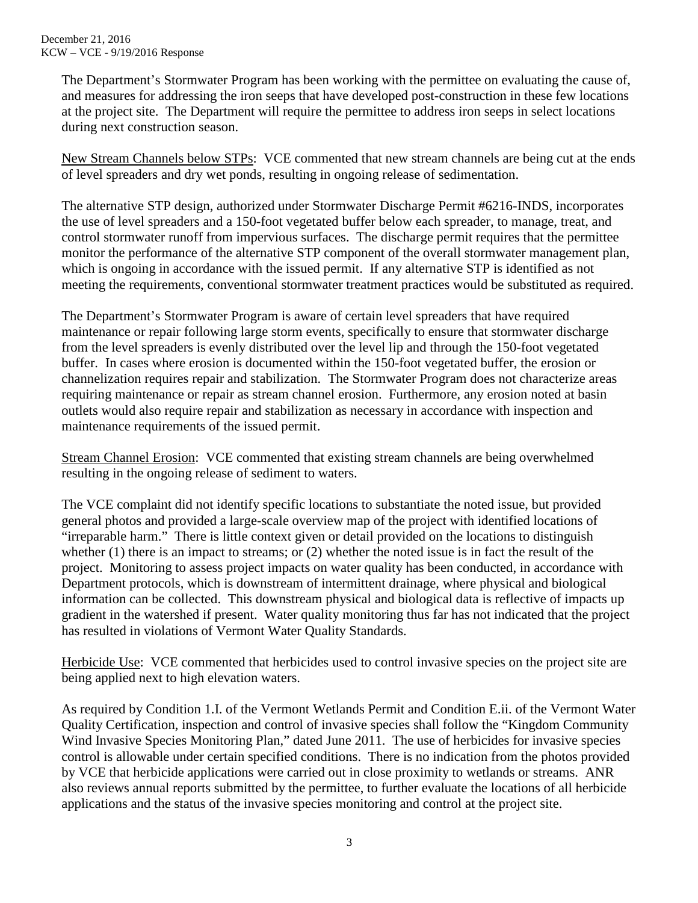The Department's Stormwater Program has been working with the permittee on evaluating the cause of, and measures for addressing the iron seeps that have developed post-construction in these few locations at the project site. The Department will require the permittee to address iron seeps in select locations during next construction season.

New Stream Channels below STPs: VCE commented that new stream channels are being cut at the ends of level spreaders and dry wet ponds, resulting in ongoing release of sedimentation.

The alternative STP design, authorized under Stormwater Discharge Permit #6216-INDS, incorporates the use of level spreaders and a 150-foot vegetated buffer below each spreader, to manage, treat, and control stormwater runoff from impervious surfaces. The discharge permit requires that the permittee monitor the performance of the alternative STP component of the overall stormwater management plan, which is ongoing in accordance with the issued permit. If any alternative STP is identified as not meeting the requirements, conventional stormwater treatment practices would be substituted as required.

The Department's Stormwater Program is aware of certain level spreaders that have required maintenance or repair following large storm events, specifically to ensure that stormwater discharge from the level spreaders is evenly distributed over the level lip and through the 150-foot vegetated buffer. In cases where erosion is documented within the 150-foot vegetated buffer, the erosion or channelization requires repair and stabilization. The Stormwater Program does not characterize areas requiring maintenance or repair as stream channel erosion. Furthermore, any erosion noted at basin outlets would also require repair and stabilization as necessary in accordance with inspection and maintenance requirements of the issued permit.

Stream Channel Erosion: VCE commented that existing stream channels are being overwhelmed resulting in the ongoing release of sediment to waters.

The VCE complaint did not identify specific locations to substantiate the noted issue, but provided general photos and provided a large-scale overview map of the project with identified locations of "irreparable harm." There is little context given or detail provided on the locations to distinguish whether (1) there is an impact to streams; or (2) whether the noted issue is in fact the result of the project. Monitoring to assess project impacts on water quality has been conducted, in accordance with Department protocols, which is downstream of intermittent drainage, where physical and biological information can be collected. This downstream physical and biological data is reflective of impacts up gradient in the watershed if present. Water quality monitoring thus far has not indicated that the project has resulted in violations of Vermont Water Quality Standards.

Herbicide Use: VCE commented that herbicides used to control invasive species on the project site are being applied next to high elevation waters.

As required by Condition 1.I. of the Vermont Wetlands Permit and Condition E.ii. of the Vermont Water Quality Certification, inspection and control of invasive species shall follow the "Kingdom Community Wind Invasive Species Monitoring Plan," dated June 2011. The use of herbicides for invasive species control is allowable under certain specified conditions. There is no indication from the photos provided by VCE that herbicide applications were carried out in close proximity to wetlands or streams. ANR also reviews annual reports submitted by the permittee, to further evaluate the locations of all herbicide applications and the status of the invasive species monitoring and control at the project site.